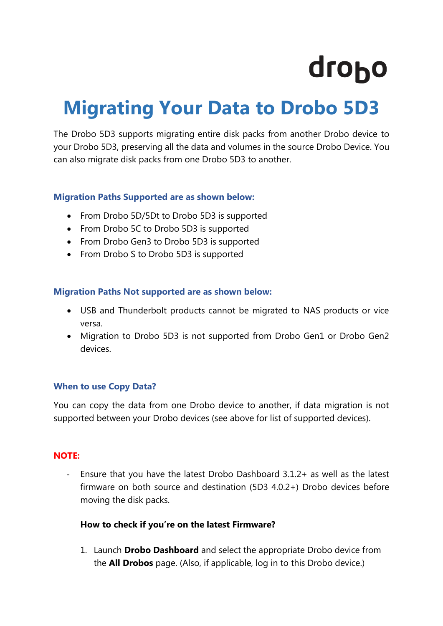# drobo

## **Migrating Your Data to Drobo 5D3**

The Drobo 5D3 supports migrating entire disk packs from another Drobo device to your Drobo 5D3, preserving all the data and volumes in the source Drobo Device. You can also migrate disk packs from one Drobo 5D3 to another.

#### **Migration Paths Supported are as shown below:**

- From Drobo 5D/5Dt to Drobo 5D3 is supported
- From Drobo 5C to Drobo 5D3 is supported
- From Drobo Gen3 to Drobo 5D3 is supported
- From Drobo S to Drobo 5D3 is supported

#### **Migration Paths Not supported are as shown below:**

- USB and Thunderbolt products cannot be migrated to NAS products or vice versa.
- Migration to Drobo 5D3 is not supported from Drobo Gen1 or Drobo Gen2 devices.

#### **When to use Copy Data?**

You can copy the data from one Drobo device to another, if data migration is not supported between your Drobo devices (see above for list of supported devices).

#### **NOTE:**

- Ensure that you have the latest Drobo Dashboard 3.1.2+ as well as the latest firmware on both source and destination (5D3 4.0.2+) Drobo devices before moving the disk packs.

### **How to check if you're on the latest Firmware?**

1. Launch **Drobo Dashboard** and select the appropriate Drobo device from the **All Drobos** page. (Also, if applicable, log in to this Drobo device.)